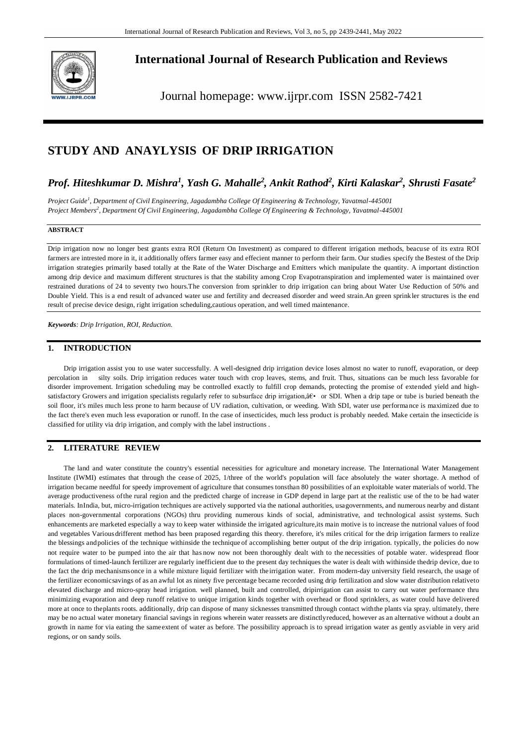

**International Journal of Research Publication and Reviews**

Journal homepage: www.ijrpr.com ISSN 2582-7421

# **STUDY AND ANAYLYSIS OF DRIP IRRIGATION**

# *Prof. Hiteshkumar D. Mishra<sup>1</sup> , Yash G. Mahalle<sup>2</sup> , Ankit Rathod<sup>2</sup> , Kirti Kalaskar<sup>2</sup> , Shrusti Fasate<sup>2</sup>*

*Project Guide<sup>1</sup> , Department of Civil Engineering, Jagadambha College Of Engineering & Technology, Yavatmal-445001 Project Members<sup>2</sup> , Department Of Civil Engineering, Jagadambha College Of Engineering & Technology, Yavatmal-445001*

# **ABSTRACT**

Drip irrigation now no longer best grants extra ROI (Return On Investment) as compared to different irrigation methods, beacuse of its extra ROI farmers are intrested more in it, it additionally offers farmer easy and effecient manner to perform their farm. Our studies specify the Bestest of the Drip irrigation strategies primarily based totally at the Rate of the Water Discharge and Emitters which manipulate the quantity. A important distinction among drip device and maximum different structures is that the stability among Crop Evapotranspiration and implemented water is maintained over restrained durations of 24 to seventy two hours.The conversion from sprinkler to drip irrigation can bring about Water Use Reduction of 50% and Double Yield. This is a end result of advanced water use and fertility and decreased disorder and weed strain.An green sprinkler structures is the end result of precise device design, right irrigation scheduling,cautious operation, and well timed maintenance.

*Keywords: Drip Irrigation, ROI, Reduction.*

# **1. INTRODUCTION**

Drip irrigation assist you to use water successfully. A well-designed drip irrigation device loses almost no water to runoff, evaporation, or deep percolation in silty soils. Drip irrigation reduces water touch with crop leaves, stems, and fruit. Thus, situations can be much less favorable for disorder improvement. Irrigation scheduling may be controlled exactly to fulfill crop demands, protecting the promise of extended yield and highsatisfactory Growers and irrigation specialists regularly refer to subsurface drip irrigation, at • or SDI. When a drip tape or tube is buried beneath the soil floor, it's miles much less prone to harm because of UV radiation, cultivation, or weeding. With SDI, water use performance is maximized due to the fact there's even much less evaporation or runoff. In the case of insecticides, much less product is probably needed. Make certain the insecticide is classified for utility via drip irrigation, and comply with the label instructions .

# **2. LITERATURE REVIEW**

The land and water constitute the country's essential necessities for agriculture and monetary increase. The International Water Management Institute (IWMI) estimates that through the cease of 2025, 1/three of the world's population will face absolutely the water shortage. A method of irrigation became needful for speedy improvement of agriculture that consumes tonsthan 80 possibilities of an exploitable water materials of world. The average productiveness ofthe rural region and the predicted charge of increase in GDP depend in large part at the realistic use of the to be had water materials. InIndia, but, micro-irrigation techniques are actively supported via the national authorities, usagovernments, and numerous nearby and distant places non-governmental corporations (NGOs) thru providing numerous kinds of social, administrative, and technological assist systems. Such enhancements are marketed especially a way to keep water withinside the irrigated agriculture,its main motive is to increase the nutrional values of food and vegetables Various drifferent method has been praposed regarding this theory. therefore, it's miles critical for the drip irrigation farmers to realize the blessings andpolicies of the technique withinside the technique of accomplishing better output of the drip irrigation. typically, the policies do now not require water to be pumped into the air that has now now not been thoroughly dealt with to the necessities of potable water. widespread floor formulations of timed-launch fertilizer are regularly inefficient due to the present day techniques the water is dealt with withinside thedrip device, due to the fact the drip mechanismsonce in a while mixture liquid fertilizer with the irrigation water. From modern-day university field research, the usage of the fertilizer economicsavings of as an awful lot as ninety five percentage became recorded using drip fertilization and slow water distribution relativeto elevated discharge and micro-spray head irrigation. well planned, built and controlled, dripirrigation can assist to carry out water performance thru minimizing evaporation and deep runoff relative to unique irrigation kinds together with overhead or flood sprinklers, as water could have delivered more at once to theplants roots. additionally, drip can dispose of many sicknesses transmitted through contact withthe plants via spray. ultimately, there may be no actual water monetary financial savings in regions wherein water reassets are distinctlyreduced, however as an alternative without a doubt an growth in name for via eating the sameextent of water as before. The possibility approach is to spread irrigation water as gently asviable in very arid regions, or on sandy soils.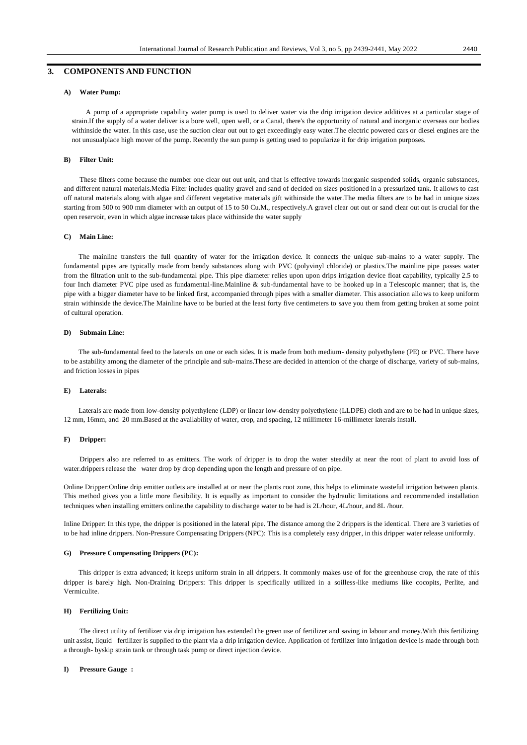### **3. COMPONENTS AND FUNCTION**

#### **A) Water Pump:**

A pump of a appropriate capability water pump is used to deliver water via the drip irrigation device additives at a particular stage of strain.If the supply of a water deliver is a bore well, open well, or a Canal, there's the opportunity of natural and inorganic overseas our bodies withinside the water. In this case, use the suction clear out out to get exceedingly easy water.The electric powered cars or diesel engines are the not unusualplace high mover of the pump. Recently the sun pump is getting used to popularize it for drip irrigation purposes.

# **B) Filter Unit:**

These filters come because the number one clear out out unit, and that is effective towards inorganic suspended solids, organic substances, and different natural materials.Media Filter includes quality gravel and sand of decided on sizes positioned in a pressurized tank. It allows to cast off natural materials along with algae and different vegetative materials gift withinside the water.The media filters are to be had in unique sizes starting from 500 to 900 mm diameter with an output of 15 to 50 Cu.M., respectively.A gravel clear out out or sand clear out out is crucial for the open reservoir, even in which algae increase takes place withinside the water supply

# **C) Main Line:**

The mainline transfers the full quantity of water for the irrigation device. It connects the unique sub-mains to a water supply. The fundamental pipes are typically made from bendy substances along with PVC (polyvinyl chloride) or plastics.The mainline pipe passes water from the filtration unit to the sub-fundamental pipe. This pipe diameter relies upon upon drips irrigation device float capability, typically 2.5 to four Inch diameter PVC pipe used as fundamental-line.Mainline & sub-fundamental have to be hooked up in a Telescopic manner; that is, the pipe with a bigger diameter have to be linked first, accompanied through pipes with a smaller diameter. This association allows to keep uniform strain withinside the device.The Mainline have to be buried at the least forty five centimeters to save you them from getting broken at some point of cultural operation.

#### **D) Submain Line:**

The sub-fundamental feed to the laterals on one or each sides. It is made from both medium- density polyethylene (PE) or PVC. There have to be astability among the diameter of the principle and sub-mains.These are decided in attention of the charge of discharge, variety of sub-mains, and friction losses in pipes

### **E) Laterals:**

Laterals are made from low-density polyethylene (LDP) or linear low-density polyethylene (LLDPE) cloth and are to be had in unique sizes, 12 mm, 16mm, and 20 mm.Based at the availability of water, crop, and spacing, 12 millimeter 16-millimeter laterals install.

#### **F) Dripper:**

Drippers also are referred to as emitters. The work of dripper is to drop the water steadily at near the root of plant to avoid loss of water.drippers release the water drop by drop depending upon the length and pressure of on pipe.

Online Dripper:Online drip emitter outlets are installed at or near the plants root zone, this helps to eliminate wasteful irrigation between plants. This method gives you a little more flexibility. It is equally as important to consider the hydraulic limitations and recommended installation techniques when installing emitters online.the capability to discharge water to be had is 2L/hour, 4L/hour, and 8L /hour.

Inline Dripper: In this type, the dripper is positioned in the lateral pipe. The distance among the 2 drippers is the identical. There are 3 varieties of to be had inline drippers. Non-Pressure Compensating Drippers (NPC): This is a completely easy dripper, in this dripper water release uniformly.

#### **G) Pressure Compensating Drippers (PC):**

This dripper is extra advanced; it keeps uniform strain in all drippers. It commonly makes use of for the greenhouse crop, the rate of this dripper is barely high. Non-Draining Drippers: This dripper is specifically utilized in a soilless-like mediums like cocopits, Perlite, and Vermiculite.

### **H) Fertilizing Unit:**

The direct utility of fertilizer via drip irrigation has extended the green use of fertilizer and saving in labour and money.With this fertilizing unit assist, liquid fertilizer is supplied to the plant via a drip irrigation device. Application of fertilizer into irrigation device is made through both a through- byskip strain tank or through task pump or direct injection device.

#### **I) Pressure Gauge :**